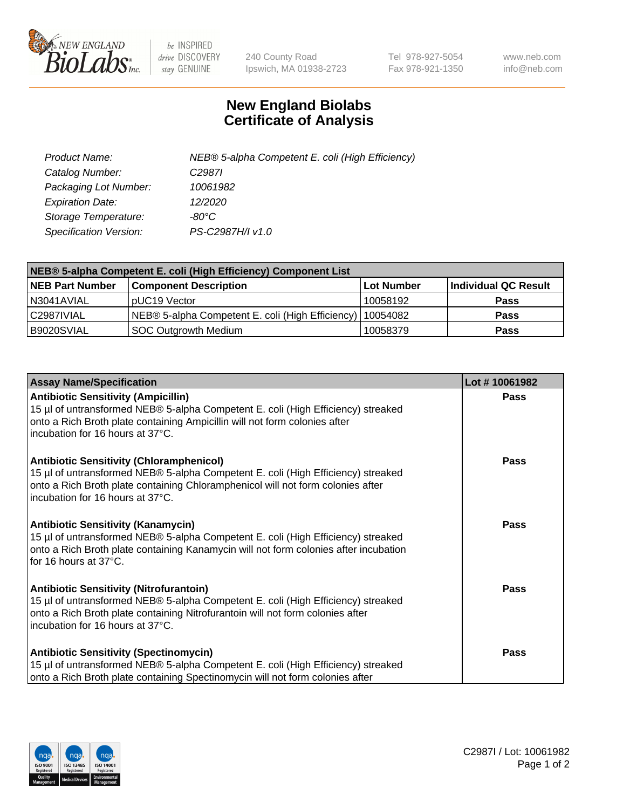

 $be$  INSPIRED drive DISCOVERY stay GENUINE

240 County Road Ipswich, MA 01938-2723 Tel 978-927-5054 Fax 978-921-1350 www.neb.com info@neb.com

## **New England Biolabs Certificate of Analysis**

| Product Name:           | NEB® 5-alpha Competent E. coli (High Efficiency) |
|-------------------------|--------------------------------------------------|
| Catalog Number:         | C <sub>2987</sub>                                |
| Packaging Lot Number:   | 10061982                                         |
| <b>Expiration Date:</b> | 12/2020                                          |
| Storage Temperature:    | -80°C                                            |
| Specification Version:  | PS-C2987H/I v1.0                                 |

| NEB® 5-alpha Competent E. coli (High Efficiency) Component List |                                                  |            |                      |  |
|-----------------------------------------------------------------|--------------------------------------------------|------------|----------------------|--|
| <b>NEB Part Number</b>                                          | <b>Component Description</b>                     | Lot Number | Individual QC Result |  |
| N3041AVIAL                                                      | pUC19 Vector                                     | 10058192   | <b>Pass</b>          |  |
| C2987IVIAL                                                      | NEB® 5-alpha Competent E. coli (High Efficiency) | 10054082   | <b>Pass</b>          |  |
| B9020SVIAL                                                      | <b>SOC Outgrowth Medium</b>                      | 10058379   | <b>Pass</b>          |  |

| <b>Assay Name/Specification</b>                                                                                                                                                                                                                            | Lot #10061982 |
|------------------------------------------------------------------------------------------------------------------------------------------------------------------------------------------------------------------------------------------------------------|---------------|
| <b>Antibiotic Sensitivity (Ampicillin)</b><br>15 µl of untransformed NEB® 5-alpha Competent E. coli (High Efficiency) streaked<br>onto a Rich Broth plate containing Ampicillin will not form colonies after<br>incubation for 16 hours at 37°C.           | <b>Pass</b>   |
| <b>Antibiotic Sensitivity (Chloramphenicol)</b><br>15 µl of untransformed NEB® 5-alpha Competent E. coli (High Efficiency) streaked<br>onto a Rich Broth plate containing Chloramphenicol will not form colonies after<br>incubation for 16 hours at 37°C. | Pass          |
| Antibiotic Sensitivity (Kanamycin)<br>15 µl of untransformed NEB® 5-alpha Competent E. coli (High Efficiency) streaked<br>onto a Rich Broth plate containing Kanamycin will not form colonies after incubation<br>for 16 hours at 37°C.                    | Pass          |
| <b>Antibiotic Sensitivity (Nitrofurantoin)</b><br>15 µl of untransformed NEB® 5-alpha Competent E. coli (High Efficiency) streaked<br>onto a Rich Broth plate containing Nitrofurantoin will not form colonies after<br>incubation for 16 hours at 37°C.   | <b>Pass</b>   |
| <b>Antibiotic Sensitivity (Spectinomycin)</b><br>15 µl of untransformed NEB® 5-alpha Competent E. coli (High Efficiency) streaked<br>onto a Rich Broth plate containing Spectinomycin will not form colonies after                                         | Pass          |